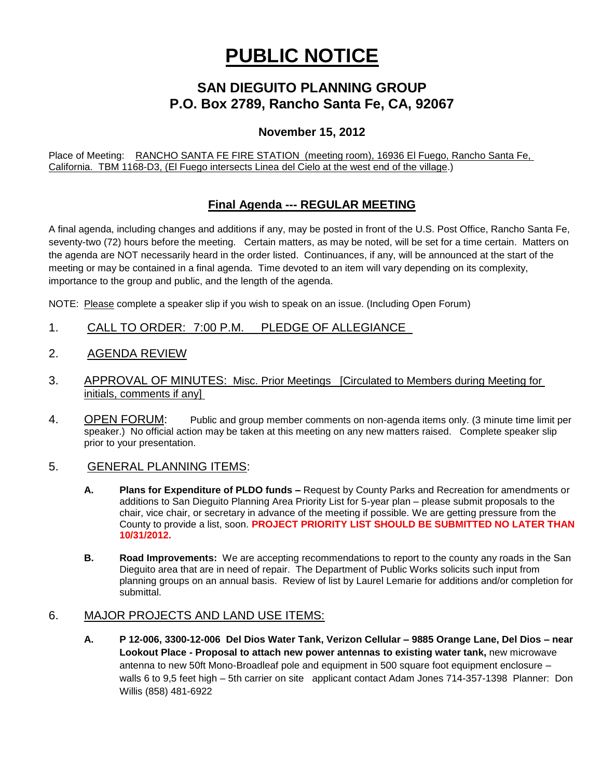# **PUBLIC NOTICE**

## **SAN DIEGUITO PLANNING GROUP P.O. Box 2789, Rancho Santa Fe, CA, 92067**

## **November 15, 2012**

Place of Meeting: RANCHO SANTA FE FIRE STATION (meeting room), 16936 El Fuego, Rancho Santa Fe, California. TBM 1168-D3, (El Fuego intersects Linea del Cielo at the west end of the village.)

## **Final Agenda --- REGULAR MEETING**

A final agenda, including changes and additions if any, may be posted in front of the U.S. Post Office, Rancho Santa Fe, seventy-two (72) hours before the meeting. Certain matters, as may be noted, will be set for a time certain. Matters on the agenda are NOT necessarily heard in the order listed. Continuances, if any, will be announced at the start of the meeting or may be contained in a final agenda. Time devoted to an item will vary depending on its complexity, importance to the group and public, and the length of the agenda.

NOTE: Please complete a speaker slip if you wish to speak on an issue. (Including Open Forum)

- 1. CALL TO ORDER: 7:00 P.M. PLEDGE OF ALLEGIANCE
- 2. AGENDA REVIEW
- 3. APPROVAL OF MINUTES: Misc. Prior Meetings [Circulated to Members during Meeting for initials, comments if any]
- 4. OPEN FORUM: Public and group member comments on non-agenda items only. (3 minute time limit per speaker.) No official action may be taken at this meeting on any new matters raised. Complete speaker slip prior to your presentation.

#### 5. GENERAL PLANNING ITEMS:

- **A. Plans for Expenditure of PLDO funds –** Request by County Parks and Recreation for amendments or additions to San Dieguito Planning Area Priority List for 5-year plan – please submit proposals to the chair, vice chair, or secretary in advance of the meeting if possible. We are getting pressure from the County to provide a list, soon. **PROJECT PRIORITY LIST SHOULD BE SUBMITTED NO LATER THAN 10/31/2012.**
- **B. Road Improvements:** We are accepting recommendations to report to the county any roads in the San Dieguito area that are in need of repair. The Department of Public Works solicits such input from planning groups on an annual basis. Review of list by Laurel Lemarie for additions and/or completion for submittal.

## 6. MAJOR PROJECTS AND LAND USE ITEMS:

**A. P 12-006, 3300-12-006 Del Dios Water Tank, Verizon Cellular – 9885 Orange Lane, Del Dios – near Lookout Place - Proposal to attach new power antennas to existing water tank,** new microwave antenna to new 50ft Mono-Broadleaf pole and equipment in 500 square foot equipment enclosure – walls 6 to 9,5 feet high – 5th carrier on site applicant contact Adam Jones 714-357-1398 Planner: Don Willis (858) 481-6922